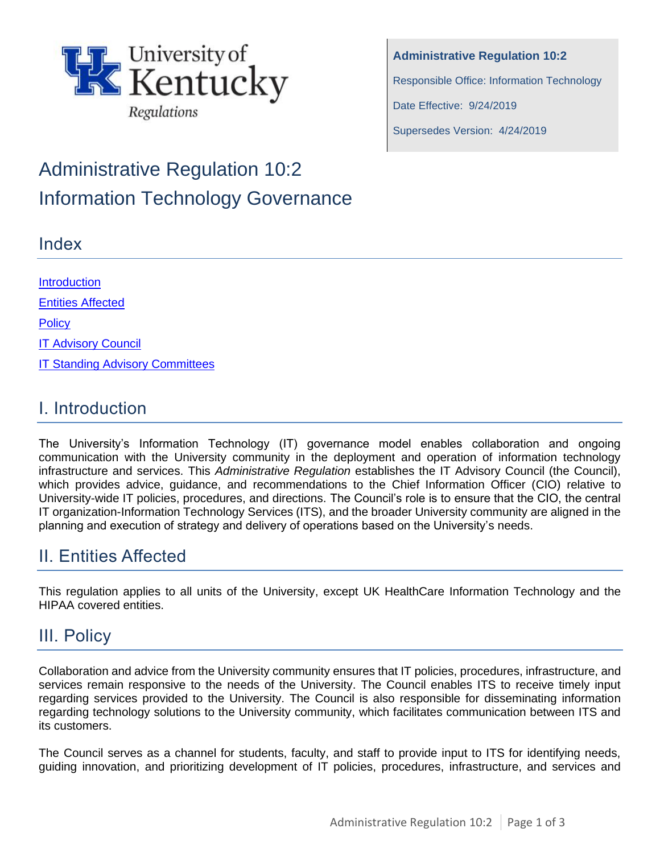

**Administrative Regulation 10:2** Responsible Office: Information Technology Date Effective: 9/24/2019 Supersedes Version: 4/24/2019

# Administrative Regulation 10:2 Information Technology Governance

#### Index

**Introduction** [Entities Affected](#page-0-0) **[Policy](#page-0-1)** [IT Advisory Council](#page-1-0) [IT Standing Advisory Committees](#page-2-0)

### I. Introduction

The University's Information Technology (IT) governance model enables collaboration and ongoing communication with the University community in the deployment and operation of information technology infrastructure and services. This *Administrative Regulation* establishes the IT Advisory Council (the Council), which provides advice, guidance, and recommendations to the Chief Information Officer (CIO) relative to University-wide IT policies, procedures, and directions. The Council's role is to ensure that the CIO, the central IT organization-Information Technology Services (ITS), and the broader University community are aligned in the planning and execution of strategy and delivery of operations based on the University's needs.

# <span id="page-0-0"></span>II. Entities Affected

This regulation applies to all units of the University, except UK HealthCare Information Technology and the HIPAA covered entities.

### <span id="page-0-1"></span>III. Policy

Collaboration and advice from the University community ensures that IT policies, procedures, infrastructure, and services remain responsive to the needs of the University. The Council enables ITS to receive timely input regarding services provided to the University. The Council is also responsible for disseminating information regarding technology solutions to the University community, which facilitates communication between ITS and its customers.

The Council serves as a channel for students, faculty, and staff to provide input to ITS for identifying needs, guiding innovation, and prioritizing development of IT policies, procedures, infrastructure, and services and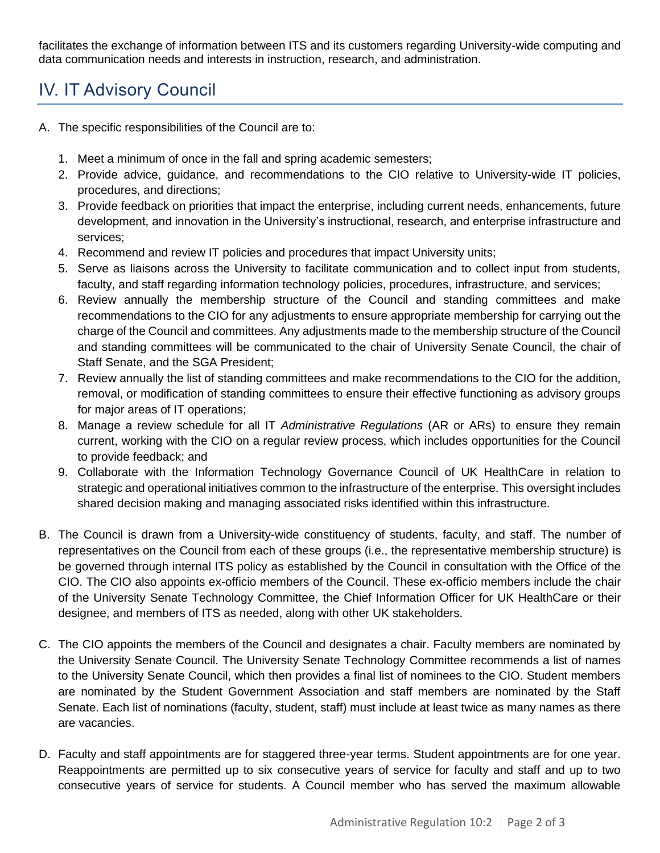facilitates the exchange of information between ITS and its customers regarding University-wide computing and data communication needs and interests in instruction, research, and administration.

# <span id="page-1-0"></span>IV. IT Advisory Council

- A. The specific responsibilities of the Council are to:
	- 1. Meet a minimum of once in the fall and spring academic semesters;
	- 2. Provide advice, guidance, and recommendations to the CIO relative to University-wide IT policies, procedures, and directions;
	- 3. Provide feedback on priorities that impact the enterprise, including current needs, enhancements, future development, and innovation in the University's instructional, research, and enterprise infrastructure and services;
	- 4. Recommend and review IT policies and procedures that impact University units;
	- 5. Serve as liaisons across the University to facilitate communication and to collect input from students, faculty, and staff regarding information technology policies, procedures, infrastructure, and services;
	- 6. Review annually the membership structure of the Council and standing committees and make recommendations to the CIO for any adjustments to ensure appropriate membership for carrying out the charge of the Council and committees. Any adjustments made to the membership structure of the Council and standing committees will be communicated to the chair of University Senate Council, the chair of Staff Senate, and the SGA President;
	- 7. Review annually the list of standing committees and make recommendations to the CIO for the addition, removal, or modification of standing committees to ensure their effective functioning as advisory groups for major areas of IT operations;
	- 8. Manage a review schedule for all IT *Administrative Regulations* (AR or ARs) to ensure they remain current, working with the CIO on a regular review process, which includes opportunities for the Council to provide feedback; and
	- 9. Collaborate with the Information Technology Governance Council of UK HealthCare in relation to strategic and operational initiatives common to the infrastructure of the enterprise. This oversight includes shared decision making and managing associated risks identified within this infrastructure.
- B. The Council is drawn from a University-wide constituency of students, faculty, and staff. The number of representatives on the Council from each of these groups (i.e., the representative membership structure) is be governed through internal ITS policy as established by the Council in consultation with the Office of the CIO. The CIO also appoints ex-officio members of the Council. These ex-officio members include the chair of the University Senate Technology Committee, the Chief Information Officer for UK HealthCare or their designee, and members of ITS as needed, along with other UK stakeholders.
- C. The CIO appoints the members of the Council and designates a chair. Faculty members are nominated by the University Senate Council. The University Senate Technology Committee recommends a list of names to the University Senate Council, which then provides a final list of nominees to the CIO. Student members are nominated by the Student Government Association and staff members are nominated by the Staff Senate. Each list of nominations (faculty, student, staff) must include at least twice as many names as there are vacancies.
- D. Faculty and staff appointments are for staggered three-year terms. Student appointments are for one year. Reappointments are permitted up to six consecutive years of service for faculty and staff and up to two consecutive years of service for students. A Council member who has served the maximum allowable